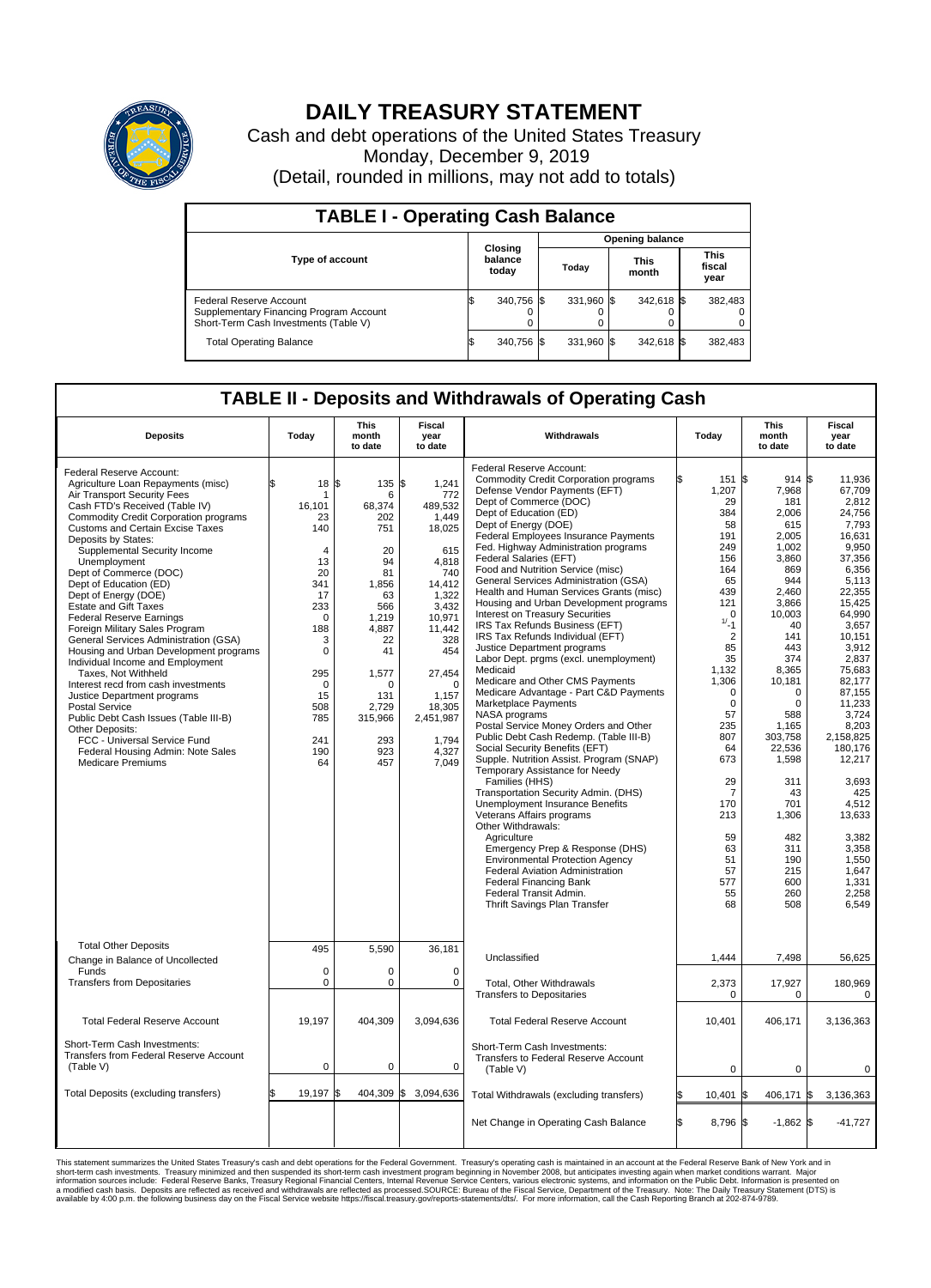

## **DAILY TREASURY STATEMENT**

Cash and debt operations of the United States Treasury Monday, December 9, 2019 (Detail, rounded in millions, may not add to totals)

| <b>TABLE I - Operating Cash Balance</b>                                                                     |                             |            |       |                        |                      |            |                               |         |  |  |  |
|-------------------------------------------------------------------------------------------------------------|-----------------------------|------------|-------|------------------------|----------------------|------------|-------------------------------|---------|--|--|--|
|                                                                                                             |                             |            |       | <b>Opening balance</b> |                      |            |                               |         |  |  |  |
| <b>Type of account</b>                                                                                      | Closing<br>balance<br>today |            | Today |                        | <b>This</b><br>month |            | <b>This</b><br>fiscal<br>year |         |  |  |  |
| Federal Reserve Account<br>Supplementary Financing Program Account<br>Short-Term Cash Investments (Table V) |                             | 340,756 \$ |       | 331,960 \$             |                      | 342,618 \$ |                               | 382,483 |  |  |  |
| <b>Total Operating Balance</b>                                                                              | IЭ                          | 340,756 \$ |       | 331,960 \$             |                      | 342,618 \$ |                               | 382,483 |  |  |  |

## **TABLE II - Deposits and Withdrawals of Operating Cash**

| <b>Deposits</b>                                                                                                                                                                                                                                                                                                                                                                                                                                                                                                                                                                                                                                                                                                                                                                                                                                                                              | Today                                                                                                                                                                                           | <b>This</b><br>month<br>to date                                                                                                                                         | <b>Fiscal</b><br>year<br>to date                                                                                                                                                                                    | Withdrawals                                                                                                                                                                                                                                                                                                                                                                                                                                                                                                                                                                                                                                                                                                                                                                                                                                                                                                                                                                                                                                                                                                                                                                                                                                                                                                                                                                | Today                                                                                                                                                                                                                                                                                             | <b>This</b><br>month<br>to date                                                                                                                                                                                                                                                                                        | <b>Fiscal</b><br>year<br>to date                                                                                                                                                                                                                                                                                                                             |
|----------------------------------------------------------------------------------------------------------------------------------------------------------------------------------------------------------------------------------------------------------------------------------------------------------------------------------------------------------------------------------------------------------------------------------------------------------------------------------------------------------------------------------------------------------------------------------------------------------------------------------------------------------------------------------------------------------------------------------------------------------------------------------------------------------------------------------------------------------------------------------------------|-------------------------------------------------------------------------------------------------------------------------------------------------------------------------------------------------|-------------------------------------------------------------------------------------------------------------------------------------------------------------------------|---------------------------------------------------------------------------------------------------------------------------------------------------------------------------------------------------------------------|----------------------------------------------------------------------------------------------------------------------------------------------------------------------------------------------------------------------------------------------------------------------------------------------------------------------------------------------------------------------------------------------------------------------------------------------------------------------------------------------------------------------------------------------------------------------------------------------------------------------------------------------------------------------------------------------------------------------------------------------------------------------------------------------------------------------------------------------------------------------------------------------------------------------------------------------------------------------------------------------------------------------------------------------------------------------------------------------------------------------------------------------------------------------------------------------------------------------------------------------------------------------------------------------------------------------------------------------------------------------------|---------------------------------------------------------------------------------------------------------------------------------------------------------------------------------------------------------------------------------------------------------------------------------------------------|------------------------------------------------------------------------------------------------------------------------------------------------------------------------------------------------------------------------------------------------------------------------------------------------------------------------|--------------------------------------------------------------------------------------------------------------------------------------------------------------------------------------------------------------------------------------------------------------------------------------------------------------------------------------------------------------|
| Federal Reserve Account:<br>Agriculture Loan Repayments (misc)<br>Air Transport Security Fees<br>Cash FTD's Received (Table IV)<br><b>Commodity Credit Corporation programs</b><br><b>Customs and Certain Excise Taxes</b><br>Deposits by States:<br>Supplemental Security Income<br>Unemployment<br>Dept of Commerce (DOC)<br>Dept of Education (ED)<br>Dept of Energy (DOE)<br><b>Estate and Gift Taxes</b><br><b>Federal Reserve Earnings</b><br>Foreign Military Sales Program<br>General Services Administration (GSA)<br>Housing and Urban Development programs<br>Individual Income and Employment<br>Taxes. Not Withheld<br>Interest recd from cash investments<br>Justice Department programs<br><b>Postal Service</b><br>Public Debt Cash Issues (Table III-B)<br>Other Deposits:<br>FCC - Universal Service Fund<br>Federal Housing Admin: Note Sales<br><b>Medicare Premiums</b> | \$<br>$18 \,$ $\uparrow$<br>16,101<br>23<br>140<br>$\overline{4}$<br>13<br>20<br>341<br>17<br>233<br>$\mathbf 0$<br>188<br>3<br>0<br>295<br>$\mathbf 0$<br>15<br>508<br>785<br>241<br>190<br>64 | 135 \$<br>6<br>68,374<br>202<br>751<br>20<br>94<br>81<br>1,856<br>63<br>566<br>1,219<br>4.887<br>22<br>41<br>1,577<br>0<br>131<br>2,729<br>315,966<br>293<br>923<br>457 | 1,241<br>772<br>489,532<br>1,449<br>18,025<br>615<br>4,818<br>740<br>14,412<br>1,322<br>3.432<br>10,971<br>11,442<br>328<br>454<br>27,454<br>$\mathbf 0$<br>1,157<br>18,305<br>2,451,987<br>1,794<br>4,327<br>7,049 | Federal Reserve Account:<br><b>Commodity Credit Corporation programs</b><br>Defense Vendor Payments (EFT)<br>Dept of Commerce (DOC)<br>Dept of Education (ED)<br>Dept of Energy (DOE)<br><b>Federal Employees Insurance Payments</b><br>Fed. Highway Administration programs<br>Federal Salaries (EFT)<br>Food and Nutrition Service (misc)<br>General Services Administration (GSA)<br>Health and Human Services Grants (misc)<br>Housing and Urban Development programs<br>Interest on Treasury Securities<br>IRS Tax Refunds Business (EFT)<br>IRS Tax Refunds Individual (EFT)<br>Justice Department programs<br>Labor Dept. prgms (excl. unemployment)<br>Medicaid<br>Medicare and Other CMS Payments<br>Medicare Advantage - Part C&D Payments<br>Marketplace Payments<br>NASA programs<br>Postal Service Money Orders and Other<br>Public Debt Cash Redemp. (Table III-B)<br>Social Security Benefits (EFT)<br>Supple. Nutrition Assist. Program (SNAP)<br>Temporary Assistance for Needy<br>Families (HHS)<br>Transportation Security Admin. (DHS)<br>Unemployment Insurance Benefits<br>Veterans Affairs programs<br>Other Withdrawals:<br>Agriculture<br>Emergency Prep & Response (DHS)<br><b>Environmental Protection Agency</b><br>Federal Aviation Administration<br><b>Federal Financing Bank</b><br>Federal Transit Admin.<br>Thrift Savings Plan Transfer | 151<br>1,207<br>29<br>384<br>58<br>191<br>249<br>156<br>164<br>65<br>439<br>121<br>$\mathbf 0$<br>$1/2 - 1$<br>$\overline{2}$<br>85<br>35<br>1,132<br>1,306<br>0<br>$\mathbf 0$<br>57<br>235<br>807<br>64<br>673<br>29<br>$\overline{7}$<br>170<br>213<br>59<br>63<br>51<br>57<br>577<br>55<br>68 | $914$ \$<br>1\$<br>7,968<br>181<br>2.006<br>615<br>2.005<br>1.002<br>3,860<br>869<br>944<br>2,460<br>3,866<br>10.003<br>40<br>141<br>443<br>374<br>8,365<br>10,181<br>$\Omega$<br>$\Omega$<br>588<br>1.165<br>303,758<br>22,536<br>1,598<br>311<br>43<br>701<br>1,306<br>482<br>311<br>190<br>215<br>600<br>260<br>508 | 11.936<br>67,709<br>2.812<br>24.756<br>7,793<br>16.631<br>9.950<br>37,356<br>6,356<br>5.113<br>22,355<br>15,425<br>64.990<br>3,657<br>10,151<br>3,912<br>2,837<br>75,683<br>82.177<br>87,155<br>11,233<br>3,724<br>8.203<br>2,158,825<br>180,176<br>12,217<br>3,693<br>425<br>4,512<br>13,633<br>3,382<br>3,358<br>1.550<br>1,647<br>1,331<br>2.258<br>6,549 |
| <b>Total Other Deposits</b><br>Change in Balance of Uncollected                                                                                                                                                                                                                                                                                                                                                                                                                                                                                                                                                                                                                                                                                                                                                                                                                              | 495                                                                                                                                                                                             | 5,590                                                                                                                                                                   | 36,181                                                                                                                                                                                                              | Unclassified                                                                                                                                                                                                                                                                                                                                                                                                                                                                                                                                                                                                                                                                                                                                                                                                                                                                                                                                                                                                                                                                                                                                                                                                                                                                                                                                                               | 1,444                                                                                                                                                                                                                                                                                             | 7,498                                                                                                                                                                                                                                                                                                                  | 56,625                                                                                                                                                                                                                                                                                                                                                       |
| Funds<br><b>Transfers from Depositaries</b>                                                                                                                                                                                                                                                                                                                                                                                                                                                                                                                                                                                                                                                                                                                                                                                                                                                  | $\Omega$<br>$\mathbf 0$                                                                                                                                                                         | $\Omega$<br>0                                                                                                                                                           | $\Omega$<br>0                                                                                                                                                                                                       | Total, Other Withdrawals<br><b>Transfers to Depositaries</b>                                                                                                                                                                                                                                                                                                                                                                                                                                                                                                                                                                                                                                                                                                                                                                                                                                                                                                                                                                                                                                                                                                                                                                                                                                                                                                               | 2,373<br>$\mathbf 0$                                                                                                                                                                                                                                                                              | 17,927<br>$\mathbf 0$                                                                                                                                                                                                                                                                                                  | 180,969<br>$\mathbf 0$                                                                                                                                                                                                                                                                                                                                       |
| <b>Total Federal Reserve Account</b>                                                                                                                                                                                                                                                                                                                                                                                                                                                                                                                                                                                                                                                                                                                                                                                                                                                         | 19,197                                                                                                                                                                                          | 404,309                                                                                                                                                                 | 3,094,636                                                                                                                                                                                                           | <b>Total Federal Reserve Account</b>                                                                                                                                                                                                                                                                                                                                                                                                                                                                                                                                                                                                                                                                                                                                                                                                                                                                                                                                                                                                                                                                                                                                                                                                                                                                                                                                       | 10,401                                                                                                                                                                                                                                                                                            | 406,171                                                                                                                                                                                                                                                                                                                | 3,136,363                                                                                                                                                                                                                                                                                                                                                    |
| Short-Term Cash Investments:<br>Transfers from Federal Reserve Account<br>(Table V)                                                                                                                                                                                                                                                                                                                                                                                                                                                                                                                                                                                                                                                                                                                                                                                                          | $\pmb{0}$                                                                                                                                                                                       | 0                                                                                                                                                                       | 0                                                                                                                                                                                                                   | Short-Term Cash Investments:<br>Transfers to Federal Reserve Account<br>(Table V)                                                                                                                                                                                                                                                                                                                                                                                                                                                                                                                                                                                                                                                                                                                                                                                                                                                                                                                                                                                                                                                                                                                                                                                                                                                                                          | $\mathbf 0$                                                                                                                                                                                                                                                                                       | 0                                                                                                                                                                                                                                                                                                                      | 0                                                                                                                                                                                                                                                                                                                                                            |
| Total Deposits (excluding transfers)                                                                                                                                                                                                                                                                                                                                                                                                                                                                                                                                                                                                                                                                                                                                                                                                                                                         | \$<br>19,197                                                                                                                                                                                    | 404,309 \$<br>1\$                                                                                                                                                       | 3,094,636                                                                                                                                                                                                           | Total Withdrawals (excluding transfers)                                                                                                                                                                                                                                                                                                                                                                                                                                                                                                                                                                                                                                                                                                                                                                                                                                                                                                                                                                                                                                                                                                                                                                                                                                                                                                                                    | 10,401                                                                                                                                                                                                                                                                                            | 406,171 \$<br>1\$                                                                                                                                                                                                                                                                                                      | 3,136,363                                                                                                                                                                                                                                                                                                                                                    |
|                                                                                                                                                                                                                                                                                                                                                                                                                                                                                                                                                                                                                                                                                                                                                                                                                                                                                              |                                                                                                                                                                                                 |                                                                                                                                                                         |                                                                                                                                                                                                                     | Net Change in Operating Cash Balance                                                                                                                                                                                                                                                                                                                                                                                                                                                                                                                                                                                                                                                                                                                                                                                                                                                                                                                                                                                                                                                                                                                                                                                                                                                                                                                                       | l\$<br>8,796 \$                                                                                                                                                                                                                                                                                   | $-1,862$ \$                                                                                                                                                                                                                                                                                                            | $-41,727$                                                                                                                                                                                                                                                                                                                                                    |

This statement summarizes the United States Treasury's cash and debt operations for the Federal Government. Treasury operating in November 2008, but anticingates investing again when market conditions warrant. Major York a